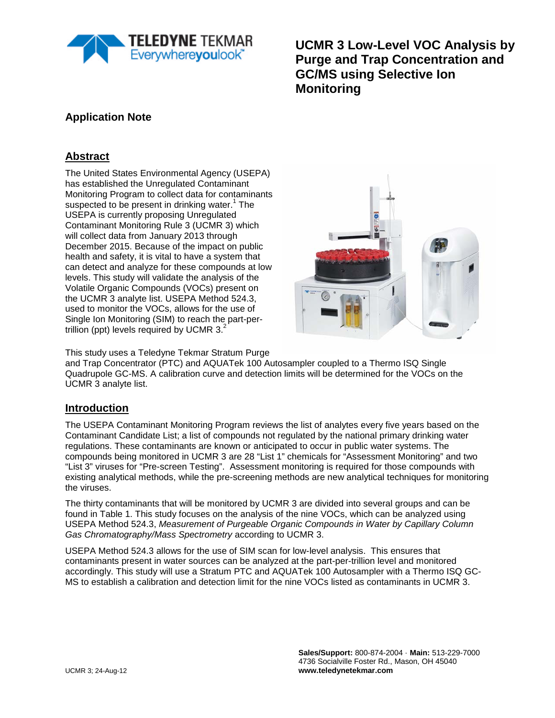

**UCMR 3 Low-Level VOC Analysis by Purge and Trap Concentration and GC/MS using Selective Ion Monitoring**

## **Application Note**

# **Abstract**

The United States Environmental Agency (USEPA) has established the Unregulated Contaminant Monitoring Program to collect data for contaminants suspected to be present in drinking water.<sup>1</sup> The USEPA is currently proposing Unregulated Contaminant Monitoring Rule 3 (UCMR 3) which will collect data from January 2013 through December 2015. Because of the impact on public health and safety, it is vital to have a system that can detect and analyze for these compounds at low levels. This study will validate the analysis of the Volatile Organic Compounds (VOCs) present on the UCMR 3 analyte list. USEPA Method 524.3, used to monitor the VOCs, allows for the use of Single Ion Monitoring (SIM) to reach the part-pertrillion (ppt) levels required by UCMR  $3.<sup>2</sup>$ 



This study uses a Teledyne Tekmar Stratum Purge

and Trap Concentrator (PTC) and AQUATek 100 Autosampler coupled to a Thermo ISQ Single Quadrupole GC-MS. A calibration curve and detection limits will be determined for the VOCs on the UCMR 3 analyte list.

### **Introduction**

The USEPA Contaminant Monitoring Program reviews the list of analytes every five years based on the Contaminant Candidate List; a list of compounds not regulated by the national primary drinking water regulations. These contaminants are known or anticipated to occur in public water systems. The compounds being monitored in UCMR 3 are 28 "List 1" chemicals for "Assessment Monitoring" and two "List 3" viruses for "Pre-screen Testing". Assessment monitoring is required for those compounds with existing analytical methods, while the pre-screening methods are new analytical techniques for monitoring the viruses.

The thirty contaminants that will be monitored by UCMR 3 are divided into several groups and can be found in Table 1. This study focuses on the analysis of the nine VOCs, which can be analyzed using USEPA Method 524.3, *Measurement of Purgeable Organic Compounds in Water by Capillary Column Gas Chromatography/Mass Spectrometry* according to UCMR 3.

USEPA Method 524.3 allows for the use of SIM scan for low-level analysis. This ensures that contaminants present in water sources can be analyzed at the part-per-trillion level and monitored accordingly. This study will use a Stratum PTC and AQUATek 100 Autosampler with a Thermo ISQ GC-MS to establish a calibration and detection limit for the nine VOCs listed as contaminants in UCMR 3.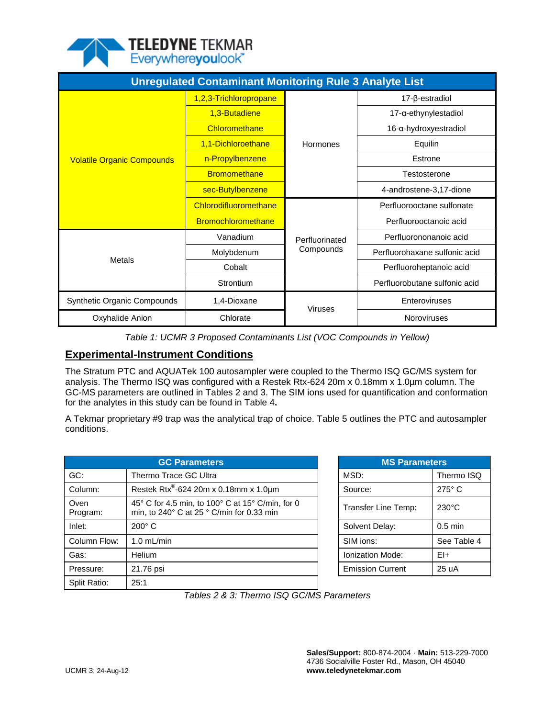

| <b>Unregulated Contaminant Monitoring Rule 3 Analyte List</b> |                           |                |                                  |  |  |  |  |
|---------------------------------------------------------------|---------------------------|----------------|----------------------------------|--|--|--|--|
|                                                               | 1,2,3-Trichloropropane    |                | $17 - \beta$ -estradiol          |  |  |  |  |
|                                                               | 1,3-Butadiene             |                | $17$ - $\alpha$ -ethynylestadiol |  |  |  |  |
|                                                               | Chloromethane             |                | 16-α-hydroxyestradiol            |  |  |  |  |
|                                                               | 1,1-Dichloroethane        | Hormones       | Equilin                          |  |  |  |  |
| <b>Volatile Organic Compounds</b>                             | n-Propylbenzene           |                | Estrone                          |  |  |  |  |
|                                                               | <b>Bromomethane</b>       |                | Testosterone                     |  |  |  |  |
|                                                               | sec-Butylbenzene          |                | 4-androstene-3,17-dione          |  |  |  |  |
|                                                               | Chlorodifluoromethane     |                | Perfluorooctane sulfonate        |  |  |  |  |
|                                                               | <b>Bromochloromethane</b> |                | Perfluorooctanoic acid           |  |  |  |  |
|                                                               | Vanadium                  | Perfluorinated | Perfluorononanoic acid           |  |  |  |  |
|                                                               | Molybdenum                | Compounds      | Perfluorohaxane sulfonic acid    |  |  |  |  |
| Metals                                                        | Cobalt                    |                | Perfluoroheptanoic acid          |  |  |  |  |
|                                                               | Strontium                 |                | Perfluorobutane sulfonic acid    |  |  |  |  |
| <b>Synthetic Organic Compounds</b>                            | 1,4-Dioxane               | <b>Viruses</b> | Enteroviruses                    |  |  |  |  |
| Chlorate<br>Oxyhalide Anion                                   |                           |                | Noroviruses                      |  |  |  |  |

*Table 1: UCMR 3 Proposed Contaminants List (VOC Compounds in Yellow)*

# **Experimental-Instrument Conditions**

The Stratum PTC and AQUATek 100 autosampler were coupled to the Thermo ISQ GC/MS system for analysis. The Thermo ISQ was configured with a Restek Rtx-624 20m x 0.18mm x 1.0µm column. The GC-MS parameters are outlined in Tables 2 and 3. The SIM ions used for quantification and conformation for the analytes in this study can be found in Table 4**.** 

A Tekmar proprietary #9 trap was the analytical trap of choice. Table 5 outlines the PTC and autosampler conditions.

|                  | <b>GC Parameters</b>                                                                                           |  | <b>MS Parameters</b>    |                 |  |
|------------------|----------------------------------------------------------------------------------------------------------------|--|-------------------------|-----------------|--|
| GC:              | Thermo Trace GC Ultra                                                                                          |  | MSD:                    | Thermo ISQ      |  |
| Column:          | Restek Rtx <sup>®</sup> -624 20m x 0.18mm x 1.0µm                                                              |  | Source:                 | $275^\circ$ C   |  |
| Oven<br>Program: | 45° C for 4.5 min, to 100° C at 15° C/min, for 0<br>min, to 240 $\degree$ C at 25 $\degree$ C/min for 0.33 min |  | Transfer Line Temp:     | $230^{\circ}$ C |  |
| Inlet:           | $200^\circ$ C                                                                                                  |  | Solvent Delay:          | $0.5$ min       |  |
| Column Flow:     | $1.0$ mL/min                                                                                                   |  | SIM ions:               | See Table 4     |  |
| Gas:             | <b>Helium</b>                                                                                                  |  | <b>Ionization Mode:</b> | $E1+$           |  |
| Pressure:        | 21.76 psi                                                                                                      |  | <b>Emission Current</b> | 25 uA           |  |
| Split Ratio:     | 25:1                                                                                                           |  |                         |                 |  |

| <b>MS Parameters</b>    |                 |  |  |  |  |  |
|-------------------------|-----------------|--|--|--|--|--|
| MSD:                    | Thermo ISQ      |  |  |  |  |  |
| Source:                 | $275^\circ$ C   |  |  |  |  |  |
| Transfer Line Temp:     | $230^{\circ}$ C |  |  |  |  |  |
| Solvent Delay:          | $0.5$ min       |  |  |  |  |  |
| SIM ions:               | See Table 4     |  |  |  |  |  |
| <b>Ionization Mode:</b> | FI+             |  |  |  |  |  |
| <b>Emission Current</b> | 25 uA           |  |  |  |  |  |

*Tables 2 & 3: Thermo ISQ GC/MS Parameters*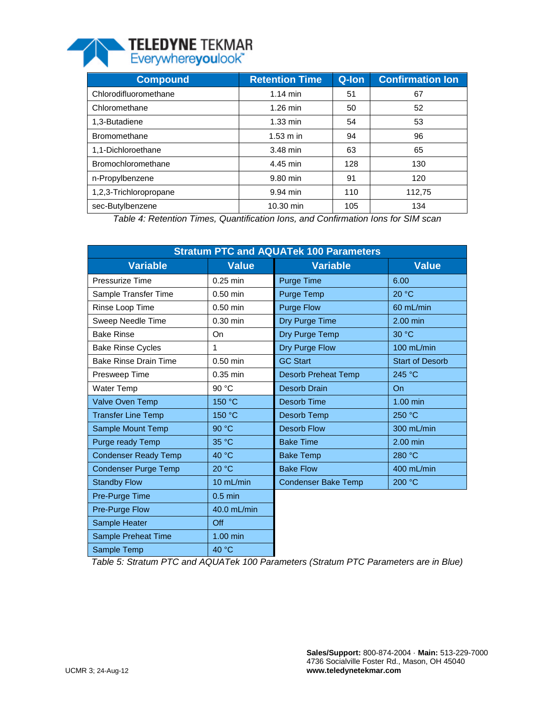

| <b>Compound</b>        | <b>Retention Time</b> | Q-lon | <b>Confirmation Ion</b> |
|------------------------|-----------------------|-------|-------------------------|
| Chlorodifluoromethane  | $1.14$ min            | 51    | 67                      |
| Chloromethane          | $1.26$ min            | 50    | 52                      |
| 1,3-Butadiene          | $1.33 \text{ min}$    | 54    | 53                      |
| <b>Bromomethane</b>    | $1.53 \text{ m}$ in   | 94    | 96                      |
| 1,1-Dichloroethane     | 3.48 min              | 63    | 65                      |
| Bromochloromethane     | 4.45 min              | 128   | 130                     |
| n-Propylbenzene        | 9.80 min              | 91    | 120                     |
| 1,2,3-Trichloropropane | 9.94 min              | 110   | 112,75                  |
| sec-Butylbenzene       | 10.30 min             | 105   | 134                     |

*Table 4: Retention Times, Quantification Ions, and Confirmation Ions for SIM scan*

| <b>Stratum PTC and AQUATek 100 Parameters</b> |              |                            |                        |  |  |  |  |
|-----------------------------------------------|--------------|----------------------------|------------------------|--|--|--|--|
| <b>Variable</b>                               | <b>Value</b> | <b>Variable</b>            | <b>Value</b>           |  |  |  |  |
| Pressurize Time                               | $0.25$ min   | Purge Time                 | 6.00                   |  |  |  |  |
| Sample Transfer Time                          | 0.50 min     | Purge Temp                 | 20 °C                  |  |  |  |  |
| Rinse Loop Time                               | $0.50$ min   | <b>Purge Flow</b>          | 60 mL/min              |  |  |  |  |
| Sweep Needle Time                             | $0.30$ min   | Dry Purge Time             | 2.00 min               |  |  |  |  |
| <b>Bake Rinse</b>                             | On           | Dry Purge Temp             | 30 °C                  |  |  |  |  |
| <b>Bake Rinse Cycles</b>                      | 1            | Dry Purge Flow             | 100 mL/min             |  |  |  |  |
| <b>Bake Rinse Drain Time</b>                  | $0.50$ min   | <b>GC Start</b>            | <b>Start of Desorb</b> |  |  |  |  |
| Presweep Time                                 | 0.35 min     | <b>Desorb Preheat Temp</b> | 245 °C                 |  |  |  |  |
| Water Temp                                    | 90 °C        | <b>Desorb Drain</b>        | <b>On</b>              |  |  |  |  |
| <b>Valve Oven Temp</b>                        | 150 °C       | Desorb Time                | 1.00 min               |  |  |  |  |
| <b>Transfer Line Temp</b>                     | 150 °C       | Desorb Temp                | 250 °C                 |  |  |  |  |
| Sample Mount Temp                             | 90 °C        | <b>Desorb Flow</b>         | 300 mL/min             |  |  |  |  |
| Purge ready Temp                              | 35 °C        | <b>Bake Time</b>           | 2.00 min               |  |  |  |  |
| <b>Condenser Ready Temp</b>                   | 40 °C        | <b>Bake Temp</b>           | 280 °C                 |  |  |  |  |
| <b>Condenser Purge Temp</b>                   | 20 °C        | <b>Bake Flow</b>           | 400 mL/min             |  |  |  |  |
| <b>Standby Flow</b>                           | 10 mL/min    | <b>Condenser Bake Temp</b> | 200 °C                 |  |  |  |  |
| Pre-Purge Time                                | $0.5$ min    |                            |                        |  |  |  |  |
| Pre-Purge Flow                                | 40.0 mL/min  |                            |                        |  |  |  |  |
| Sample Heater                                 | Off          |                            |                        |  |  |  |  |
| Sample Preheat Time                           | $1.00$ min   |                            |                        |  |  |  |  |
| Sample Temp                                   | 40 °C        |                            |                        |  |  |  |  |

*Table 5: Stratum PTC and AQUATek 100 Parameters (Stratum PTC Parameters are in Blue)*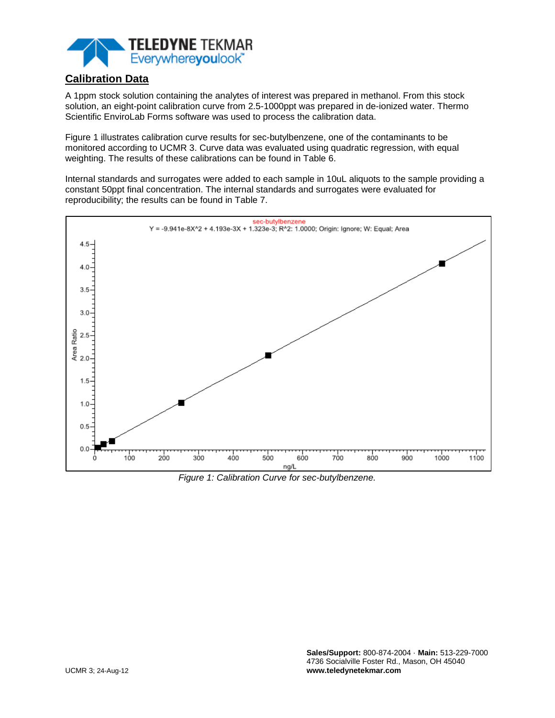

# **Calibration Data**

A 1ppm stock solution containing the analytes of interest was prepared in methanol. From this stock solution, an eight-point calibration curve from 2.5-1000ppt was prepared in de-ionized water. Thermo Scientific EnviroLab Forms software was used to process the calibration data.

Figure 1 illustrates calibration curve results for sec-butylbenzene, one of the contaminants to be monitored according to UCMR 3. Curve data was evaluated using quadratic regression, with equal weighting. The results of these calibrations can be found in Table 6.

Internal standards and surrogates were added to each sample in 10uL aliquots to the sample providing a constant 50ppt final concentration. The internal standards and surrogates were evaluated for reproducibility; the results can be found in Table 7.



*Figure 1: Calibration Curve for sec-butylbenzene.*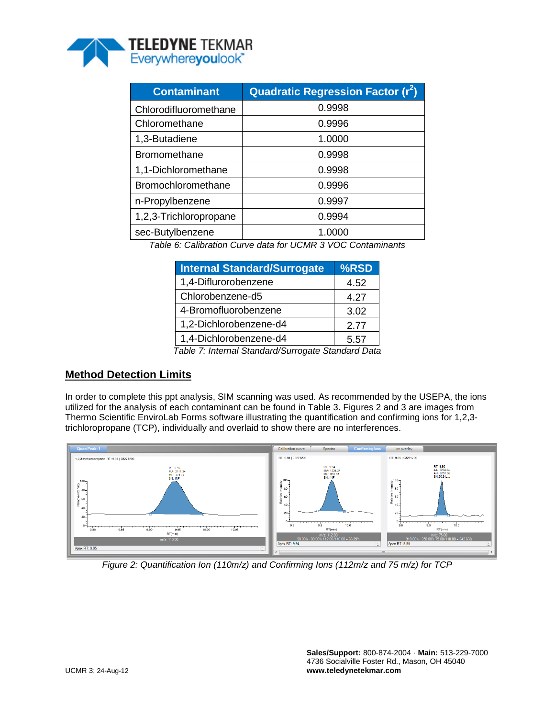

| <b>Contaminant</b>     | <b>Quadratic Regression Factor (r2)</b> |
|------------------------|-----------------------------------------|
| Chlorodifluoromethane  | 0.9998                                  |
| Chloromethane          | 0.9996                                  |
| 1,3-Butadiene          | 1.0000                                  |
| <b>Bromomethane</b>    | 0.9998                                  |
| 1,1-Dichloromethane    | 0.9998                                  |
| Bromochloromethane     | 0.9996                                  |
| n-Propylbenzene        | 0.9997                                  |
| 1,2,3-Trichloropropane | 0.9994                                  |
| sec-Butylbenzene       | 1.0000                                  |

*Table 6: Calibration Curve data for UCMR 3 VOC Contaminants*

| <b>Internal Standard/Surrogate</b>                 | %RSD |  |  |  |  |
|----------------------------------------------------|------|--|--|--|--|
| 1,4-Diflurorobenzene                               | 4.52 |  |  |  |  |
| Chlorobenzene-d5                                   | 4.27 |  |  |  |  |
| 4-Bromofluorobenzene                               | 3.02 |  |  |  |  |
| 1,2-Dichlorobenzene-d4                             | 2.77 |  |  |  |  |
| 1,4-Dichlorobenzene-d4                             | 5.57 |  |  |  |  |
| Table 7: Internal Standard/Surrogate Standard Data |      |  |  |  |  |

## **Method Detection Limits**

In order to complete this ppt analysis, SIM scanning was used. As recommended by the USEPA, the ions utilized for the analysis of each contaminant can be found in Table 3. Figures 2 and 3 are images from Thermo Scientific EnviroLab Forms software illustrating the quantification and confirming ions for 1,2,3 trichloropropane (TCP), individually and overlaid to show there are no interferences.



*Figure 2: Quantification Ion (110m/z) and Confirming Ions (112m/z and 75 m/z) for TCP*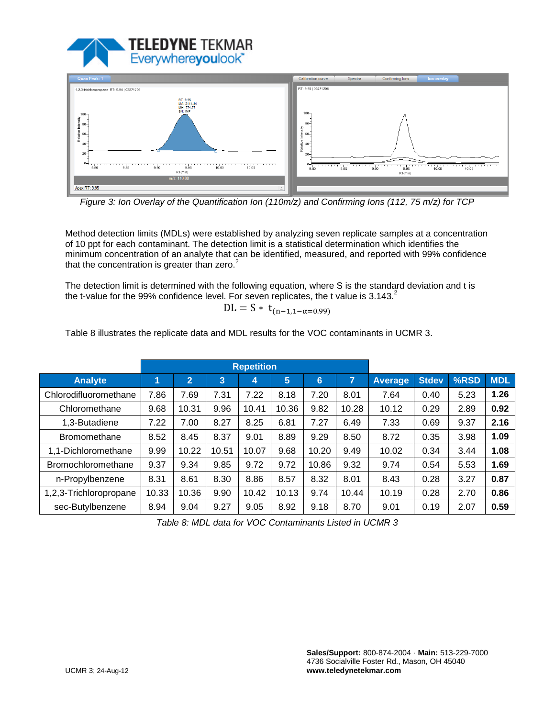



*Figure 3: Ion Overlay of the Quantification Ion (110m/z) and Confirming Ions (112, 75 m/z) for TCP*

Method detection limits (MDLs) were established by analyzing seven replicate samples at a concentration of 10 ppt for each contaminant. The detection limit is a statistical determination which identifies the minimum concentration of an analyte that can be identified, measured, and reported with 99% confidence that the concentration is greater than zero. $2$ 

The detection limit is determined with the following equation, where S is the standard deviation and t is the t-value for the 99% confidence level. For seven replicates, the t value is  $3.143<sup>2</sup>$ 

$$
DL = S * t_{(n-1,1-\alpha=0.99)}
$$

Table 8 illustrates the replicate data and MDL results for the VOC contaminants in UCMR 3.

|                           | <b>Repetition</b> |              |              |       |       |       |       |         |              |      |            |
|---------------------------|-------------------|--------------|--------------|-------|-------|-------|-------|---------|--------------|------|------------|
| <b>Analyte</b>            | 1                 | $2^{\prime}$ | $\mathbf{3}$ | 4     | 5     | 6     | 7     | Average | <b>Stdev</b> | %RSD | <b>MDL</b> |
| Chlorodifluoromethane     | 7.86              | 7.69         | 7.31         | 7.22  | 8.18  | 7.20  | 8.01  | 7.64    | 0.40         | 5.23 | 1.26       |
| Chloromethane             | 9.68              | 10.31        | 9.96         | 10.41 | 10.36 | 9.82  | 10.28 | 10.12   | 0.29         | 2.89 | 0.92       |
| 1,3-Butadiene             | 7.22              | 7.00         | 8.27         | 8.25  | 6.81  | 7.27  | 6.49  | 7.33    | 0.69         | 9.37 | 2.16       |
| <b>Bromomethane</b>       | 8.52              | 8.45         | 8.37         | 9.01  | 8.89  | 9.29  | 8.50  | 8.72    | 0.35         | 3.98 | 1.09       |
| 1,1-Dichloromethane       | 9.99              | 10.22        | 10.51        | 10.07 | 9.68  | 10.20 | 9.49  | 10.02   | 0.34         | 3.44 | 1.08       |
| <b>Bromochloromethane</b> | 9.37              | 9.34         | 9.85         | 9.72  | 9.72  | 10.86 | 9.32  | 9.74    | 0.54         | 5.53 | 1.69       |
| n-Propylbenzene           | 8.31              | 8.61         | 8.30         | 8.86  | 8.57  | 8.32  | 8.01  | 8.43    | 0.28         | 3.27 | 0.87       |
| 1,2,3-Trichloropropane    | 10.33             | 10.36        | 9.90         | 10.42 | 10.13 | 9.74  | 10.44 | 10.19   | 0.28         | 2.70 | 0.86       |
| sec-Butylbenzene          | 8.94              | 9.04         | 9.27         | 9.05  | 8.92  | 9.18  | 8.70  | 9.01    | 0.19         | 2.07 | 0.59       |

*Table 8: MDL data for VOC Contaminants Listed in UCMR 3*